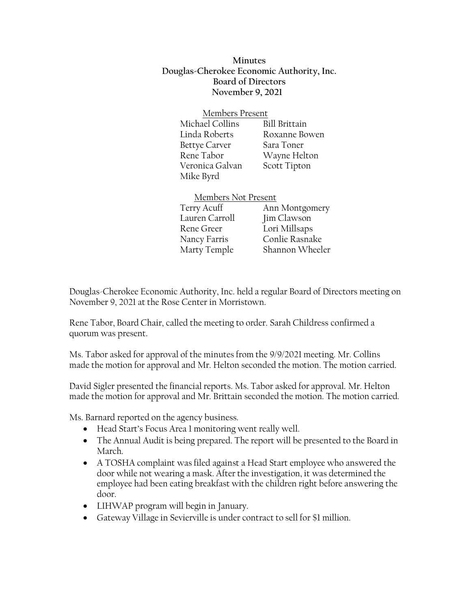**Minutes Douglas-Cherokee Economic Authority, Inc. Board of Directors November 9, 2021**

| Members Present      |               |
|----------------------|---------------|
| Michael Collins      | Bill Brittain |
| Linda Roberts        | Roxanne Bowen |
| <b>Bettye Carver</b> | Sara Toner    |
| Rene Tabor           | Wayne Helton  |
| Veronica Galvan      | Scott Tipton  |
| Mike Byrd            |               |

| Members Not Present |  |
|---------------------|--|
| Ann Montgomery      |  |
| Jim Clawson         |  |
| Lori Millsaps       |  |
| Conlie Rasnake      |  |
| Shannon Wheeler     |  |
|                     |  |

Douglas-Cherokee Economic Authority, Inc. held a regular Board of Directors meeting on November 9, 2021 at the Rose Center in Morristown.

Rene Tabor, Board Chair, called the meeting to order. Sarah Childress confirmed a quorum was present.

Members Not Present

Ms. Tabor asked for approval of the minutes from the 9/9/2021 meeting. Mr. Collins made the motion for approval and Mr. Helton seconded the motion. The motion carried.

David Sigler presented the financial reports. Ms. Tabor asked for approval. Mr. Helton made the motion for approval and Mr. Brittain seconded the motion. The motion carried.

Ms. Barnard reported on the agency business.

- Head Start's Focus Area 1 monitoring went really well.
- The Annual Audit is being prepared. The report will be presented to the Board in March.
- A TOSHA complaint was filed against a Head Start employee who answered the door while not wearing a mask. After the investigation, it was determined the employee had been eating breakfast with the children right before answering the door.
- LIHWAP program will begin in January.
- Gateway Village in Sevierville is under contract to sell for \$1 million.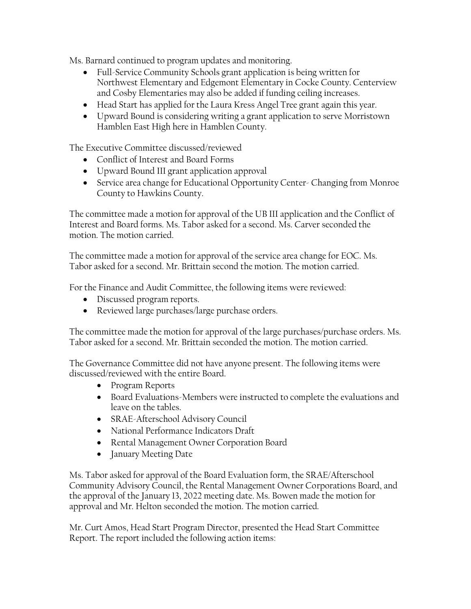Ms. Barnard continued to program updates and monitoring.

- Full-Service Community Schools grant application is being written for Northwest Elementary and Edgemont Elementary in Cocke County. Centerview and Cosby Elementaries may also be added if funding ceiling increases.
- Head Start has applied for the Laura Kress Angel Tree grant again this year.
- Upward Bound is considering writing a grant application to serve Morristown Hamblen East High here in Hamblen County.

The Executive Committee discussed/reviewed

- Conflict of Interest and Board Forms
- Upward Bound III grant application approval
- Service area change for Educational Opportunity Center- Changing from Monroe County to Hawkins County.

The committee made a motion for approval of the UB III application and the Conflict of Interest and Board forms. Ms. Tabor asked for a second. Ms. Carver seconded the motion. The motion carried.

The committee made a motion for approval of the service area change for EOC. Ms. Tabor asked for a second. Mr. Brittain second the motion. The motion carried.

For the Finance and Audit Committee, the following items were reviewed:

- Discussed program reports.
- Reviewed large purchases/large purchase orders.

The committee made the motion for approval of the large purchases/purchase orders. Ms. Tabor asked for a second. Mr. Brittain seconded the motion. The motion carried.

The Governance Committee did not have anyone present. The following items were discussed/reviewed with the entire Board.

- Program Reports
- Board Evaluations-Members were instructed to complete the evaluations and leave on the tables.
- SRAE-Afterschool Advisory Council
- National Performance Indicators Draft
- Rental Management Owner Corporation Board
- January Meeting Date

Ms. Tabor asked for approval of the Board Evaluation form, the SRAE/Afterschool Community Advisory Council, the Rental Management Owner Corporations Board, and the approval of the January 13, 2022 meeting date. Ms. Bowen made the motion for approval and Mr. Helton seconded the motion. The motion carried.

Mr. Curt Amos, Head Start Program Director, presented the Head Start Committee Report. The report included the following action items: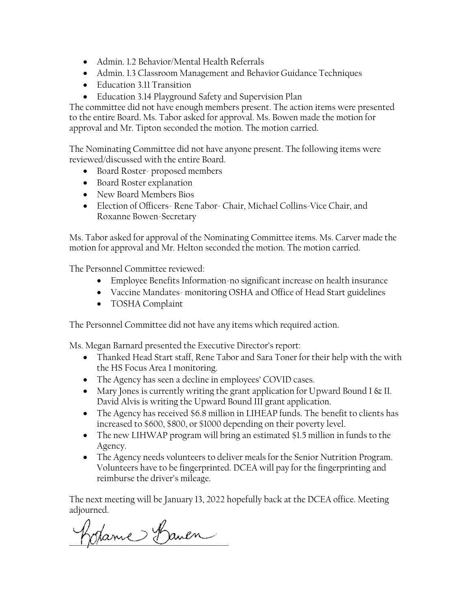- Admin. 1.2 Behavior/Mental Health Referrals
- Admin. 1.3 Classroom Management and Behavior Guidance Techniques
- Education 3.11 Transition
- Education 3.14 Playground Safety and Supervision Plan

The committee did not have enough members present. The action items were presented to the entire Board. Ms. Tabor asked for approval. Ms. Bowen made the motion for approval and Mr. Tipton seconded the motion. The motion carried.

The Nominating Committee did not have anyone present. The following items were reviewed/discussed with the entire Board.

- Board Roster- proposed members
- Board Roster explanation
- New Board Members Bios
- Election of Officers- Rene Tabor- Chair, Michael Collins-Vice Chair, and Roxanne Bowen-Secretary

Ms. Tabor asked for approval of the Nominating Committee items. Ms. Carver made the motion for approval and Mr. Helton seconded the motion. The motion carried.

The Personnel Committee reviewed:

- Employee Benefits Information-no significant increase on health insurance
- Vaccine Mandates- monitoring OSHA and Office of Head Start guidelines
- TOSHA Complaint

The Personnel Committee did not have any items which required action.

Ms. Megan Barnard presented the Executive Director's report:

- Thanked Head Start staff, Rene Tabor and Sara Toner for their help with the with the HS Focus Area 1 monitoring.
- The Agency has seen a decline in employees' COVID cases.
- Mary Jones is currently writing the grant application for Upward Bound I  $\&$  II. David Alvis is writing the Upward Bound III grant application.
- The Agency has received \$6.8 million in LIHEAP funds. The benefit to clients has increased to \$600, \$800, or \$1000 depending on their poverty level.
- The new LIHWAP program will bring an estimated \$1.5 million in funds to the Agency.
- The Agency needs volunteers to deliver meals for the Senior Nutrition Program. Volunteers have to be fingerprinted. DCEA will pay for the fingerprinting and reimburse the driver's mileage.

The next meeting will be January 13, 2022 hopefully back at the DCEA office. Meeting adjourned.

hopame Bauen